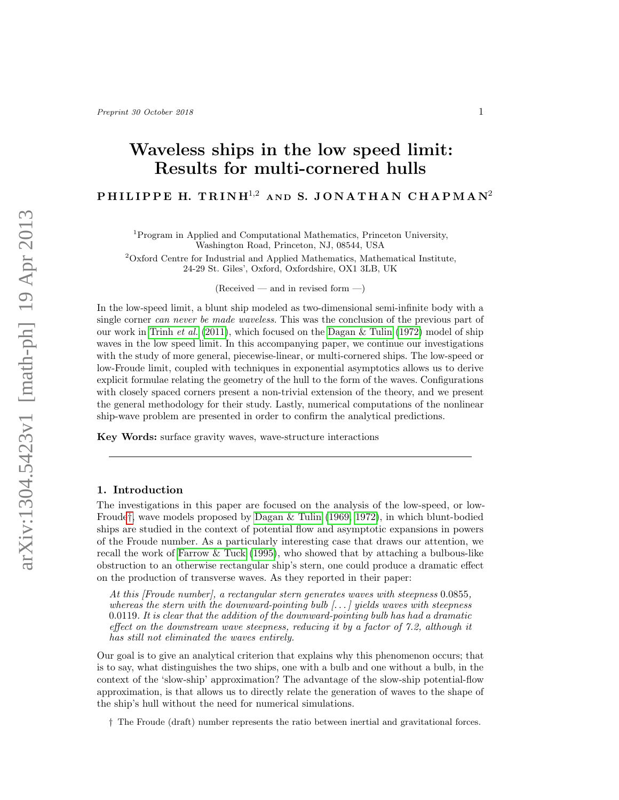# Waveless ships in the low speed limit: Results for multi-cornered hulls

PHILIPPE H. TRINH<sup>1,2</sup> AND S. JONATHAN CHAPMAN<sup>2</sup>

<sup>1</sup>Program in Applied and Computational Mathematics, Princeton University, Washington Road, Princeton, NJ, 08544, USA

<sup>2</sup>Oxford Centre for Industrial and Applied Mathematics, Mathematical Institute, 24-29 St. Giles', Oxford, Oxfordshire, OX1 3LB, UK

 $(Received - and in revised form -)$ 

In the low-speed limit, a blunt ship modeled as two-dimensional semi-infinite body with a single corner *can never be made waveless*. This was the conclusion of the previous part of our work in [Trinh](#page-17-0) et al. [\(2011\)](#page-17-0), which focused on the Dagan  $&$  Tulin (1972) model of ship waves in the low speed limit. In this accompanying paper, we continue our investigations with the study of more general, piecewise-linear, or multi-cornered ships. The low-speed or low-Froude limit, coupled with techniques in exponential asymptotics allows us to derive explicit formulae relating the geometry of the hull to the form of the waves. Configurations with closely spaced corners present a non-trivial extension of the theory, and we present the general methodology for their study. Lastly, numerical computations of the nonlinear ship-wave problem are presented in order to confirm the analytical predictions.

Key Words: surface gravity waves, wave-structure interactions

# 1. Introduction

The investigations in this paper are focused on the analysis of the low-speed, or low-Froude[†](#page-0-0), wave models proposed by [Dagan & Tulin \(1969,](#page-16-1) [1972\)](#page-16-0), in which blunt-bodied ships are studied in the context of potential flow and asymptotic expansions in powers of the Froude number. As a particularly interesting case that draws our attention, we recall the work of [Farrow & Tuck \(1995\)](#page-16-2), who showed that by attaching a bulbous-like obstruction to an otherwise rectangular ship's stern, one could produce a dramatic effect on the production of transverse waves. As they reported in their paper:

At this [Froude number], a rectangular stern generates waves with steepness 0.0855, whereas the stern with the downward-pointing bulb  $[\ldots]$  yields waves with steepness  $0.0119$ . It is clear that the addition of the downward-pointing bulb has had a dramatic effect on the downstream wave steepness, reducing it by a factor of 7.2, although it has still not eliminated the waves entirely.

Our goal is to give an analytical criterion that explains why this phenomenon occurs; that is to say, what distinguishes the two ships, one with a bulb and one without a bulb, in the context of the 'slow-ship' approximation? The advantage of the slow-ship potential-flow approximation, is that allows us to directly relate the generation of waves to the shape of the ship's hull without the need for numerical simulations.

<span id="page-0-0"></span>† The Froude (draft) number represents the ratio between inertial and gravitational forces.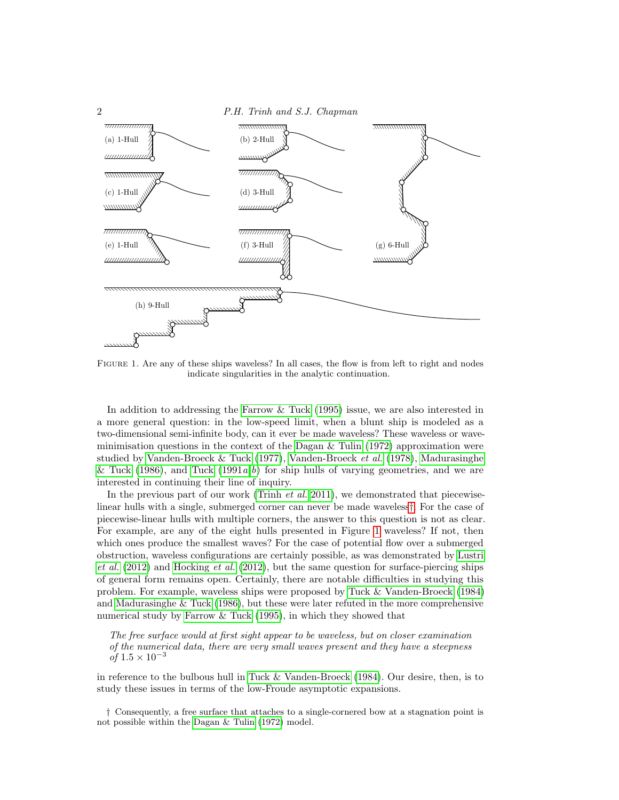

<span id="page-1-1"></span>Figure 1. Are any of these ships waveless? In all cases, the flow is from left to right and nodes indicate singularities in the analytic continuation.

In addition to addressing the [Farrow & Tuck \(1995\)](#page-16-2) issue, we are also interested in a more general question: in the low-speed limit, when a blunt ship is modeled as a two-dimensional semi-infinite body, can it ever be made waveless? These waveless or waveminimisation questions in the context of the Dagan  $\&$  Tulin (1972) approximation were studied by [Vanden-Broeck](#page-17-2)  $&$  Tuck (1977), Vanden-Broeck et al. [\(1978\)](#page-17-2), [Madurasinghe](#page-17-3) [& Tuck \(1986\)](#page-17-3), and [Tuck \(1991](#page-17-4) $a,b$  $a,b$ ) for ship hulls of varying geometries, and we are interested in continuing their line of inquiry.

In the previous part of our work [\(Trinh](#page-17-0)  $et \ al.$  [2011\)](#page-17-0), we demonstrated that piecewiselinear hulls with a single, submerged corner can never be made waveless[†](#page-1-0). For the case of piecewise-linear hulls with multiple corners, the answer to this question is not as clear. For example, are any of the eight hulls presented in Figure [1](#page-1-1) waveless? If not, then which ones produce the smallest waves? For the case of potential flow over a submerged obstruction, waveless configurations are certainly possible, as was demonstrated by [Lustri](#page-17-6) [et al.](#page-17-6)  $(2012)$  and [Hocking](#page-16-3) et al.  $(2012)$ , but the same question for surface-piercing ships of general form remains open. Certainly, there are notable difficulties in studying this problem. For example, waveless ships were proposed by [Tuck & Vanden-Broeck \(1984\)](#page-17-7) and [Madurasinghe & Tuck \(1986\)](#page-17-3), but these were later refuted in the more comprehensive numerical study by [Farrow & Tuck \(1995\)](#page-16-2), in which they showed that

The free surface would at first sight appear to be waveless, but on closer examination of the numerical data, there are very small waves present and they have a steepness *of*  $1.5 \times 10^{-3}$ 

in reference to the bulbous hull in [Tuck & Vanden-Broeck \(1984\)](#page-17-7). Our desire, then, is to study these issues in terms of the low-Froude asymptotic expansions.

<span id="page-1-0"></span>† Consequently, a free surface that attaches to a single-cornered bow at a stagnation point is not possible within the [Dagan & Tulin](#page-16-0) [\(1972\)](#page-16-0) model.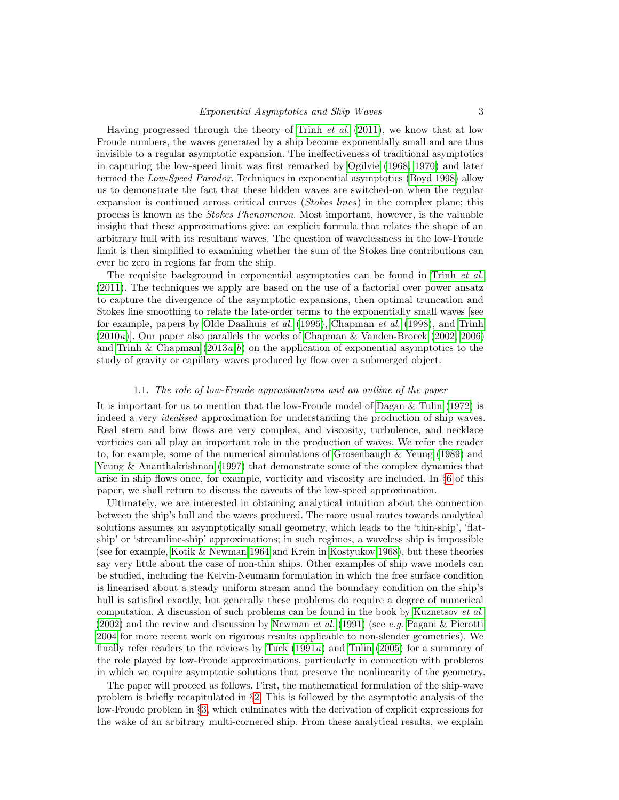Having progressed through the theory of [Trinh](#page-17-0) et al. [\(2011\)](#page-17-0), we know that at low Froude numbers, the waves generated by a ship become exponentially small and are thus invisible to a regular asymptotic expansion. The ineffectiveness of traditional asymptotics in capturing the low-speed limit was first remarked by [Ogilvie \(1968,](#page-17-8) [1970\)](#page-17-9) and later termed the Low-Speed Paradox. Techniques in exponential asymptotics [\(Boyd 1998\)](#page-16-4) allow us to demonstrate the fact that these hidden waves are switched-on when the regular expansion is continued across critical curves (*Stokes lines*) in the complex plane; this process is known as the Stokes Phenomenon. Most important, however, is the valuable insight that these approximations give: an explicit formula that relates the shape of an arbitrary hull with its resultant waves. The question of wavelessness in the low-Froude limit is then simplified to examining whether the sum of the Stokes line contributions can ever be zero in regions far from the ship.

The requisite background in exponential asymptotics can be found in [Trinh](#page-17-0) *et al.* [\(2011\)](#page-17-0). The techniques we apply are based on the use of a factorial over power ansatz to capture the divergence of the asymptotic expansions, then optimal truncation and Stokes line smoothing to relate the late-order terms to the exponentially small waves [see for example, papers by [Olde Daalhuis](#page-17-10) et al. [\(1995\)](#page-17-10), [Chapman](#page-16-5) et al. [\(1998\)](#page-16-5), and [Trinh](#page-17-11)  $(2010a)$  $(2010a)$ . Our paper also parallels the works of [Chapman & Vanden-Broeck \(2002,](#page-16-6) [2006\)](#page-16-7) and Trinh & Chapman  $(2013a,b)$  $(2013a,b)$  $(2013a,b)$  on the application of exponential asymptotics to the study of gravity or capillary waves produced by flow over a submerged object.

#### 1.1. The role of low-Froude approximations and an outline of the paper

It is important for us to mention that the low-Froude model of [Dagan & Tulin \(1972\)](#page-16-0) is indeed a very *idealised* approximation for understanding the production of ship waves. Real stern and bow flows are very complex, and viscosity, turbulence, and necklace vorticies can all play an important role in the production of waves. We refer the reader to, for example, some of the numerical simulations of [Grosenbaugh & Yeung \(1989\)](#page-16-8) and [Yeung & Ananthakrishnan \(1997\)](#page-17-14) that demonstrate some of the complex dynamics that arise in ship flows once, for example, vorticity and viscosity are included. In §[6](#page-14-0) of this paper, we shall return to discuss the caveats of the low-speed approximation.

Ultimately, we are interested in obtaining analytical intuition about the connection between the ship's hull and the waves produced. The more usual routes towards analytical solutions assumes an asymptotically small geometry, which leads to the 'thin-ship', 'flatship' or 'streamline-ship' approximations; in such regimes, a waveless ship is impossible (see for example, [Kotik & Newman 1964](#page-16-9) and Krein in [Kostyukov 1968\)](#page-16-10), but these theories say very little about the case of non-thin ships. Other examples of ship wave models can be studied, including the Kelvin-Neumann formulation in which the free surface condition is linearised about a steady uniform stream annd the boundary condition on the ship's hull is satisfied exactly, but generally these problems do require a degree of numerical computation. A discussion of such problems can be found in the book by [Kuznetsov](#page-17-15) *et al.* [\(2002\)](#page-17-15) and the review and discussion by [Newman](#page-17-16) et al. [\(1991\)](#page-17-16) (see e.g. [Pagani & Pierotti](#page-17-17) [2004](#page-17-17) for more recent work on rigorous results applicable to non-slender geometries). We finally refer readers to the reviews by Tuck  $(1991a)$  and Tulin  $(2005)$  for a summary of the role played by low-Froude approximations, particularly in connection with problems in which we require asymptotic solutions that preserve the nonlinearity of the geometry.

The paper will proceed as follows. First, the mathematical formulation of the ship-wave problem is briefly recapitulated in §[2.](#page-3-0) This is followed by the asymptotic analysis of the low-Froude problem in §[3,](#page-4-0) which culminates with the derivation of explicit expressions for the wake of an arbitrary multi-cornered ship. From these analytical results, we explain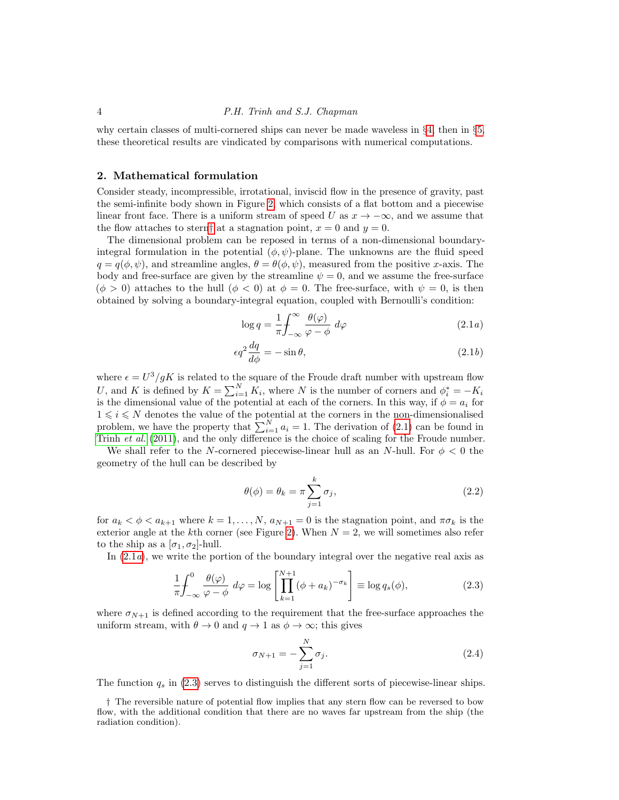why certain classes of multi-cornered ships can never be made waveless in §[4,](#page-9-0) then in §[5,](#page-11-0) these theoretical results are vindicated by comparisons with numerical computations.

# <span id="page-3-0"></span>2. Mathematical formulation

Consider steady, incompressible, irrotational, inviscid flow in the presence of gravity, past the semi-infinite body shown in Figure [2,](#page-4-1) which consists of a flat bottom and a piecewise linear front face. There is a uniform stream of speed U as  $x \to -\infty$ , and we assume that the flow attaches to stern[†](#page-3-1) at a stagnation point,  $x = 0$  and  $y = 0$ .

The dimensional problem can be reposed in terms of a non-dimensional boundaryintegral formulation in the potential  $(\phi, \psi)$ -plane. The unknowns are the fluid speed  $q = q(\phi, \psi)$ , and streamline angles,  $\theta = \theta(\phi, \psi)$ , measured from the positive x-axis. The body and free-surface are given by the streamline  $\psi = 0$ , and we assume the free-surface  $(\phi > 0)$  attaches to the hull  $(\phi < 0)$  at  $\phi = 0$ . The free-surface, with  $\psi = 0$ , is then obtained by solving a boundary-integral equation, coupled with Bernoulli's condition:

<span id="page-3-4"></span><span id="page-3-2"></span>
$$
\log q = \frac{1}{\pi} \int_{-\infty}^{\infty} \frac{\theta(\varphi)}{\varphi - \phi} d\varphi \tag{2.1a}
$$

$$
\epsilon q^2 \frac{dq}{d\phi} = -\sin \theta, \qquad (2.1b)
$$

where  $\epsilon = U^3/gK$  is related to the square of the Froude draft number with upstream flow U, and K is defined by  $K = \sum_{i=1}^{N} K_i$ , where N is the number of corners and  $\phi_i^* = -K_i$ is the dimensional value of the potential at each of the corners. In this way, if  $\phi = a_i$  for  $1\leqslant i\leqslant N$  denotes the value of the potential at the corners in the non-dimensionalised problem, we have the property that  $\sum_{i=1}^{N} a_i = 1$ . The derivation of [\(2.1\)](#page-3-2) can be found in [Trinh](#page-17-0) et al. [\(2011\)](#page-17-0), and the only difference is the choice of scaling for the Froude number.

We shall refer to the N-cornered piecewise-linear hull as an N-hull. For  $\phi < 0$  the geometry of the hull can be described by

$$
\theta(\phi) = \theta_k = \pi \sum_{j=1}^k \sigma_j,\tag{2.2}
$$

for  $a_k < \phi < a_{k+1}$  where  $k = 1, \ldots, N$ ,  $a_{N+1} = 0$  is the stagnation point, and  $\pi \sigma_k$  is the exterior angle at the kth corner (see Figure [2\)](#page-4-1). When  $N = 2$ , we will sometimes also refer to the ship as a  $[\sigma_1, \sigma_2]$ -hull.

In  $(2.1a)$ , we write the portion of the boundary integral over the negative real axis as

<span id="page-3-3"></span>
$$
\frac{1}{\pi} \int_{-\infty}^{0} \frac{\theta(\varphi)}{\varphi - \phi} d\varphi = \log \left[ \prod_{k=1}^{N+1} (\phi + a_k)^{-\sigma_k} \right] \equiv \log q_s(\phi), \tag{2.3}
$$

where  $\sigma_{N+1}$  is defined according to the requirement that the free-surface approaches the uniform stream, with  $\theta \to 0$  and  $q \to 1$  as  $\phi \to \infty$ ; this gives

$$
\sigma_{N+1} = -\sum_{j=1}^{N} \sigma_j.
$$
\n(2.4)

The function  $q_s$  in [\(2.3\)](#page-3-3) serves to distinguish the different sorts of piecewise-linear ships.

<span id="page-3-1"></span>† The reversible nature of potential flow implies that any stern flow can be reversed to bow flow, with the additional condition that there are no waves far upstream from the ship (the radiation condition).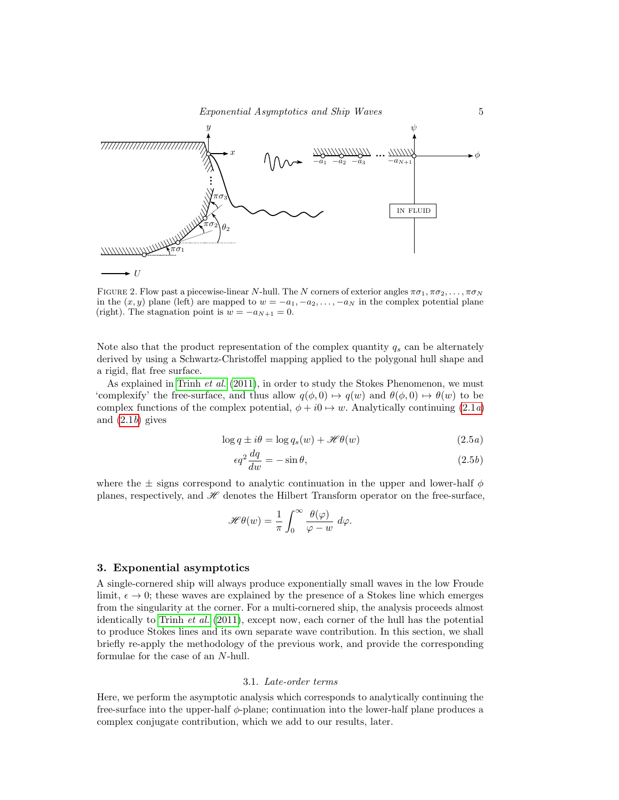

<span id="page-4-1"></span>FIGURE 2. Flow past a piecewise-linear N-hull. The N corners of exterior angles  $\pi\sigma_1, \pi\sigma_2, \ldots, \pi\sigma_N$ in the  $(x, y)$  plane (left) are mapped to  $w = -a_1, -a_2, \ldots, -a_N$  in the complex potential plane (right). The stagnation point is  $w = -a_{N+1} = 0$ .

Note also that the product representation of the complex quantity  $q_s$  can be alternately derived by using a Schwartz-Christoffel mapping applied to the polygonal hull shape and a rigid, flat free surface.

As explained in [Trinh](#page-17-0) *et al.* [\(2011\)](#page-17-0), in order to study the Stokes Phenomenon, we must 'complexify' the free-surface, and thus allow  $q(\phi, 0) \mapsto q(w)$  and  $\theta(\phi, 0) \mapsto \theta(w)$  to be complex functions of the complex potential,  $\phi + i0 \mapsto w$ . Analytically continuing [\(2.1](#page-3-2)a) and  $(2.1b)$  gives

$$
\log q \pm i\theta = \log q_s(w) + \mathcal{H}\theta(w) \tag{2.5a}
$$

$$
\epsilon q^2 \frac{dq}{dw} = -\sin \theta, \tag{2.5b}
$$

where the  $\pm$  signs correspond to analytic continuation in the upper and lower-half  $\phi$ planes, respectively, and  $\mathscr H$  denotes the Hilbert Transform operator on the free-surface,

$$
\mathscr{H}\theta(w) = \frac{1}{\pi} \int_0^\infty \frac{\theta(\varphi)}{\varphi - w} \ d\varphi.
$$

### <span id="page-4-0"></span>3. Exponential asymptotics

A single-cornered ship will always produce exponentially small waves in the low Froude limit,  $\epsilon \to 0$ ; these waves are explained by the presence of a Stokes line which emerges from the singularity at the corner. For a multi-cornered ship, the analysis proceeds almost identically to [Trinh](#page-17-0) *et al.*  $(2011)$ , except now, each corner of the hull has the potential to produce Stokes lines and its own separate wave contribution. In this section, we shall briefly re-apply the methodology of the previous work, and provide the corresponding formulae for the case of an N-hull.

#### 3.1. Late-order terms

Here, we perform the asymptotic analysis which corresponds to analytically continuing the free-surface into the upper-half  $\phi$ -plane; continuation into the lower-half plane produces a complex conjugate contribution, which we add to our results, later.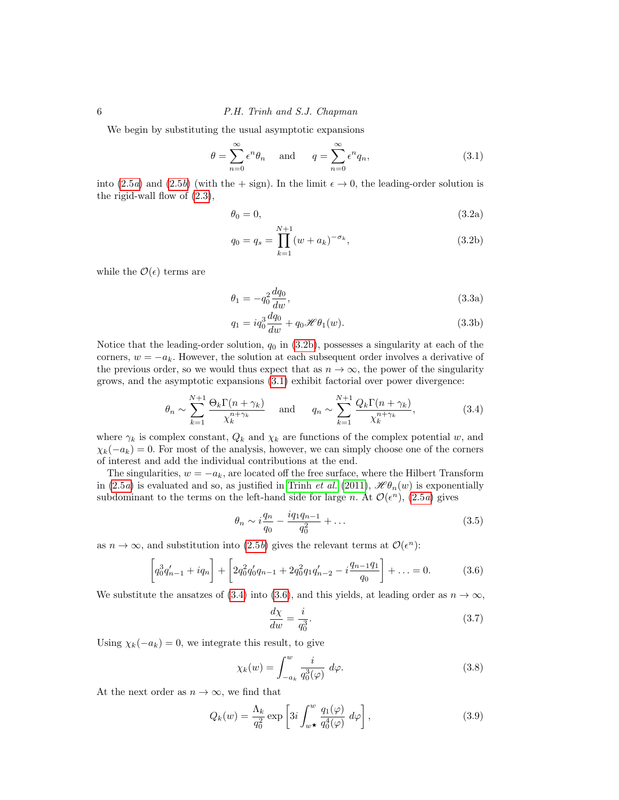6 P.H. Trinh and S.J. Chapman

We begin by substituting the usual asymptotic expansions

<span id="page-5-1"></span>
$$
\theta = \sum_{n=0}^{\infty} \epsilon^n \theta_n \quad \text{and} \quad q = \sum_{n=0}^{\infty} \epsilon^n q_n,
$$
\n(3.1)

into [\(2.5](#page-3-2)*a*) and (2.5*b*) (with the + sign). In the limit  $\epsilon \to 0$ , the leading-order solution is the rigid-wall flow of [\(2.3\)](#page-3-3),

$$
\theta_0 = 0,\tag{3.2a}
$$

<span id="page-5-0"></span>
$$
q_0 = q_s = \prod_{k=1}^{N+1} (w + a_k)^{-\sigma_k},
$$
\n(3.2b)

while the  $\mathcal{O}(\epsilon)$  terms are

$$
\theta_1 = -q_0^2 \frac{dq_0}{dw},\tag{3.3a}
$$

<span id="page-5-7"></span>
$$
q_1 = iq_0^3 \frac{dq_0}{dw} + q_0 \mathcal{H} \theta_1(w).
$$
 (3.3b)

Notice that the leading-order solution,  $q_0$  in  $(3.2b)$ , possesses a singularity at each of the corners,  $w = -a_k$ . However, the solution at each subsequent order involves a derivative of the previous order, so we would thus expect that as  $n \to \infty$ , the power of the singularity grows, and the asymptotic expansions [\(3.1\)](#page-5-1) exhibit factorial over power divergence:

<span id="page-5-2"></span>
$$
\theta_n \sim \sum_{k=1}^{N+1} \frac{\Theta_k \Gamma(n + \gamma_k)}{\chi_k^{n + \gamma_k}} \quad \text{and} \quad q_n \sim \sum_{k=1}^{N+1} \frac{Q_k \Gamma(n + \gamma_k)}{\chi_k^{n + \gamma_k}},\tag{3.4}
$$

where  $\gamma_k$  is complex constant,  $Q_k$  and  $\chi_k$  are functions of the complex potential w, and  $\chi_k(-a_k) = 0$ . For most of the analysis, however, we can simply choose one of the corners of interest and add the individual contributions at the end.

The singularities,  $w = -a_k$ , are located off the free surface, where the Hilbert Transform in [\(2.5](#page-3-2)a) is evaluated and so, as justified in [Trinh](#page-17-0) *et al.* [\(2011\)](#page-17-0),  $\mathscr{H}\theta_n(w)$  is exponentially subdominant to the terms on the left-hand side for large n. At  $\mathcal{O}(\epsilon^n)$ , [\(2.5](#page-3-2)a) gives

<span id="page-5-4"></span>
$$
\theta_n \sim i \frac{q_n}{q_0} - \frac{i q_1 q_{n-1}}{q_0^2} + \dots \tag{3.5}
$$

as  $n \to \infty$ , and substitution into [\(2.5](#page-3-2)b) gives the relevant terms at  $\mathcal{O}(\epsilon^n)$ :

<span id="page-5-3"></span>
$$
\left[q_0^3 q'_{n-1} + iq_n\right] + \left[2q_0^2 q'_0 q_{n-1} + 2q_0^2 q_1 q'_{n-2} - i \frac{q_{n-1}q_1}{q_0}\right] + \dots = 0. \tag{3.6}
$$

We substitute the ansatzes of [\(3.4\)](#page-5-2) into [\(3.6\)](#page-5-3), and this yields, at leading order as  $n \to \infty$ ,

$$
\frac{d\chi}{dw} = \frac{i}{q_0^3}.\tag{3.7}
$$

Using  $\chi_k(-a_k) = 0$ , we integrate this result, to give

<span id="page-5-5"></span>
$$
\chi_k(w) = \int_{-a_k}^w \frac{i}{q_0^3(\varphi)} d\varphi.
$$
 (3.8)

At the next order as  $n \to \infty$ , we find that

<span id="page-5-6"></span>
$$
Q_k(w) = \frac{\Lambda_k}{q_0^2} \exp\left[3i \int_{w\star}^w \frac{q_1(\varphi)}{q_0^4(\varphi)} d\varphi\right],
$$
 (3.9)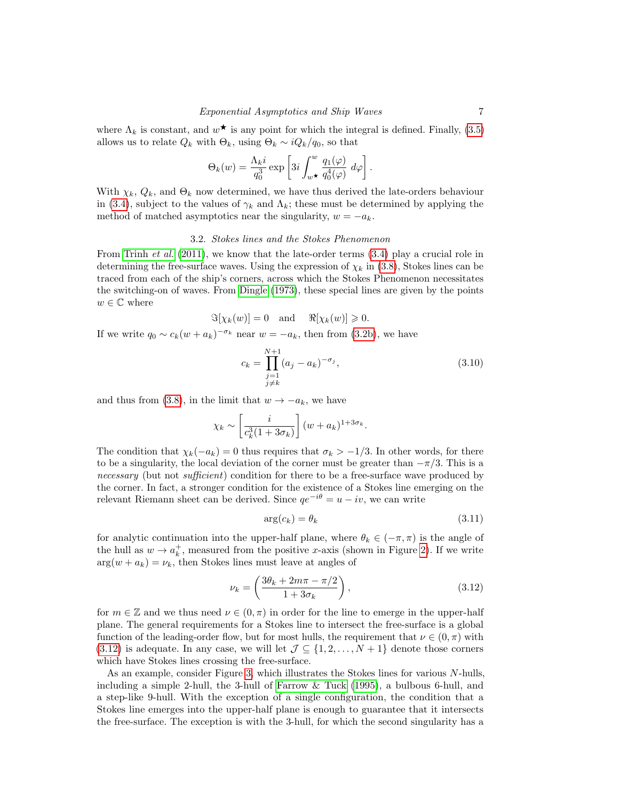where  $\Lambda_k$  is constant, and  $w^{\star}$  is any point for which the integral is defined. Finally, [\(3.5\)](#page-5-4) allows us to relate  $Q_k$  with  $\Theta_k$ , using  $\Theta_k \sim iQ_k/q_0$ , so that

$$
\Theta_k(w) = \frac{\Lambda_k i}{q_0^3} \exp \left[ 3i \int_{w\,\textrm{\footnotesize$\star$}}^w \frac{q_1(\varphi)}{q_0^4(\varphi)} \ d\varphi \right].
$$

With  $\chi_k, Q_k$ , and  $\Theta_k$  now determined, we have thus derived the late-orders behaviour in [\(3.4\)](#page-5-2), subject to the values of  $\gamma_k$  and  $\Lambda_k$ ; these must be determined by applying the method of matched asymptotics near the singularity,  $w = -a_k$ .

#### 3.2. Stokes lines and the Stokes Phenomenon

From [Trinh](#page-17-0) *et al.* [\(2011\)](#page-17-0), we know that the late-order terms  $(3.4)$  play a crucial role in determining the free-surface waves. Using the expression of  $\chi_k$  in [\(3.8\)](#page-5-5), Stokes lines can be traced from each of the ship's corners, across which the Stokes Phenomenon necessitates the switching-on of waves. From [Dingle \(1973\)](#page-16-11), these special lines are given by the points  $w \in \mathbb{C}$  where

$$
\Im[\chi_k(w)] = 0 \text{ and } \Re[\chi_k(w)] \geq 0.
$$

If we write  $q_0 \sim c_k (w + a_k)^{-\sigma_k}$  near  $w = -a_k$ , then from [\(3.2b\)](#page-5-0), we have

$$
c_k = \prod_{\substack{j=1 \ j \neq k}}^{N+1} (a_j - a_k)^{-\sigma_j}, \tag{3.10}
$$

and thus from [\(3.8\)](#page-5-5), in the limit that  $w \to -a_k$ , we have

$$
\chi_k \sim \left[\frac{i}{c_k^3(1+3\sigma_k)}\right] (w+a_k)^{1+3\sigma_k}.
$$

The condition that  $\chi_k(-a_k) = 0$  thus requires that  $\sigma_k > -1/3$ . In other words, for there to be a singularity, the local deviation of the corner must be greater than  $-\pi/3$ . This is a necessary (but not sufficient) condition for there to be a free-surface wave produced by the corner. In fact, a stronger condition for the existence of a Stokes line emerging on the relevant Riemann sheet can be derived. Since  $qe^{-i\theta} = u - iv$ , we can write

<span id="page-6-1"></span>
$$
\arg(c_k) = \theta_k \tag{3.11}
$$

for analytic continuation into the upper-half plane, where  $\theta_k \in (-\pi, \pi)$  is the angle of the hull as  $w \to a_k^+$ , measured from the positive x-axis (shown in Figure [2\)](#page-4-1). If we write  $arg(w + a_k) = \nu_k$ , then Stokes lines must leave at angles of

<span id="page-6-0"></span>
$$
\nu_k = \left(\frac{3\theta_k + 2m\pi - \pi/2}{1 + 3\sigma_k}\right),\tag{3.12}
$$

for  $m \in \mathbb{Z}$  and we thus need  $\nu \in (0, \pi)$  in order for the line to emerge in the upper-half plane. The general requirements for a Stokes line to intersect the free-surface is a global function of the leading-order flow, but for most hulls, the requirement that  $\nu \in (0, \pi)$  with [\(3.12\)](#page-6-0) is adequate. In any case, we will let  $\mathcal{J} \subseteq \{1, 2, ..., N+1\}$  denote those corners which have Stokes lines crossing the free-surface.

As an example, consider Figure [3,](#page-7-0) which illustrates the Stokes lines for various N-hulls, including a simple 2-hull, the 3-hull of [Farrow & Tuck \(1995\)](#page-16-2), a bulbous 6-hull, and a step-like 9-hull. With the exception of a single configuration, the condition that a Stokes line emerges into the upper-half plane is enough to guarantee that it intersects the free-surface. The exception is with the 3-hull, for which the second singularity has a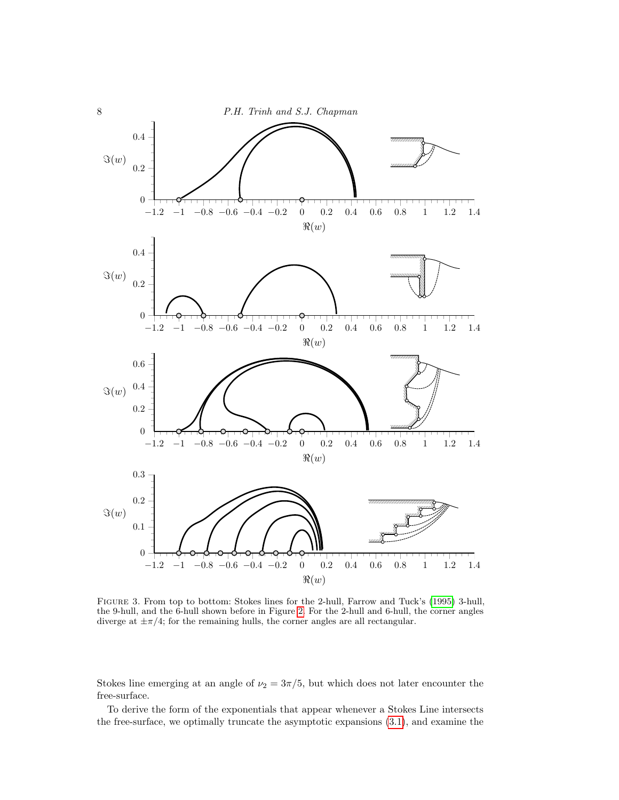

<span id="page-7-0"></span>Figure 3. From top to bottom: Stokes lines for the 2-hull, Farrow and Tuck's [\(1995\)](#page-16-2) 3-hull, the 9-hull, and the 6-hull shown before in Figure [2.](#page-4-1) For the 2-hull and 6-hull, the corner angles diverge at  $\pm \pi/4$ ; for the remaining hulls, the corner angles are all rectangular.

Stokes line emerging at an angle of  $\nu_2 = 3\pi/5$ , but which does not later encounter the free-surface.

To derive the form of the exponentials that appear whenever a Stokes Line intersects the free-surface, we optimally truncate the asymptotic expansions [\(3.1\)](#page-5-1), and examine the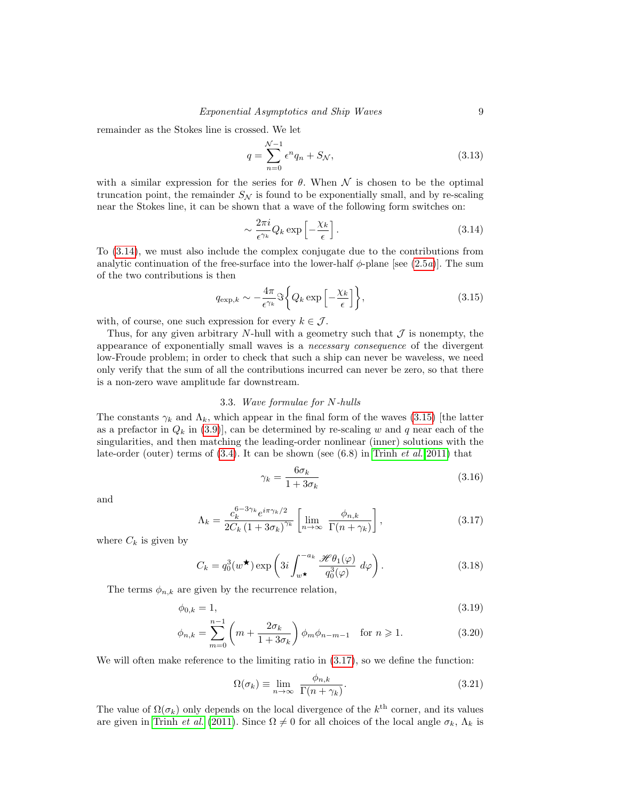remainder as the Stokes line is crossed. We let

$$
q = \sum_{n=0}^{N-1} \epsilon^n q_n + S_N,
$$
\n(3.13)

with a similar expression for the series for  $\theta$ . When  $\mathcal N$  is chosen to be the optimal truncation point, the remainder  $S_N$  is found to be exponentially small, and by re-scaling near the Stokes line, it can be shown that a wave of the following form switches on:

<span id="page-8-0"></span>
$$
\sim \frac{2\pi i}{\epsilon^{\gamma_k}} Q_k \exp\left[-\frac{\chi_k}{\epsilon}\right].\tag{3.14}
$$

To [\(3.14\)](#page-8-0), we must also include the complex conjugate due to the contributions from analytic continuation of the free-surface into the lower-half  $\phi$ -plane [see [\(2.5](#page-3-2)*a*)]. The sum of the two contributions is then

<span id="page-8-1"></span>
$$
q_{\exp,k} \sim -\frac{4\pi}{\epsilon^{\gamma_k}} \Im \left\{ Q_k \exp \left[ -\frac{\chi_k}{\epsilon} \right] \right\},\tag{3.15}
$$

with, of course, one such expression for every  $k \in \mathcal{J}$ .

Thus, for any given arbitrary N-hull with a geometry such that  $\mathcal J$  is nonempty, the appearance of exponentially small waves is a necessary consequence of the divergent low-Froude problem; in order to check that such a ship can never be waveless, we need only verify that the sum of all the contributions incurred can never be zero, so that there is a non-zero wave amplitude far downstream.

# 3.3. Wave formulae for N-hulls

The constants  $\gamma_k$  and  $\Lambda_k$ , which appear in the final form of the waves [\(3.15\)](#page-8-1) [the latter as a prefactor in  $Q_k$  in [\(3.9\)](#page-5-6), can be determined by re-scaling w and q near each of the singularities, and then matching the leading-order nonlinear (inner) solutions with the late-order (outer) terms of  $(3.4)$ . It can be shown (see  $(6.8)$  in [Trinh](#page-17-0) *et al.* [2011\)](#page-17-0) that

<span id="page-8-4"></span>
$$
\gamma_k = \frac{6\sigma_k}{1 + 3\sigma_k} \tag{3.16}
$$

and

<span id="page-8-2"></span>
$$
\Lambda_k = \frac{c_k^{6-3\gamma_k} e^{i\pi\gamma_k/2}}{2C_k \left(1 + 3\sigma_k\right)^{\gamma_k}} \left[\lim_{n \to \infty} \frac{\phi_{n,k}}{\Gamma(n+\gamma_k)}\right],\tag{3.17}
$$

where  $C_k$  is given by

$$
C_k = q_0^3(w^{\star}) \exp\left(3i \int_{w^{\star}}^{-a_k} \frac{\mathcal{H}\theta_1(\varphi)}{q_0^3(\varphi)} d\varphi\right).
$$
 (3.18)

The terms  $\phi_{n,k}$  are given by the recurrence relation,

$$
\phi_{0,k} = 1,\tag{3.19}
$$

$$
\phi_{n,k} = \sum_{m=0}^{n-1} \left( m + \frac{2\sigma_k}{1 + 3\sigma_k} \right) \phi_m \phi_{n-m-1} \quad \text{for } n \geq 1.
$$
 (3.20)

We will often make reference to the limiting ratio in  $(3.17)$ , so we define the function:

<span id="page-8-3"></span>
$$
\Omega(\sigma_k) \equiv \lim_{n \to \infty} \frac{\phi_{n,k}}{\Gamma(n + \gamma_k)}.
$$
\n(3.21)

The value of  $\Omega(\sigma_k)$  only depends on the local divergence of the  $k^{\text{th}}$  corner, and its values are given in [Trinh](#page-17-0) *et al.* [\(2011\)](#page-17-0). Since  $\Omega \neq 0$  for all choices of the local angle  $\sigma_k$ ,  $\Lambda_k$  is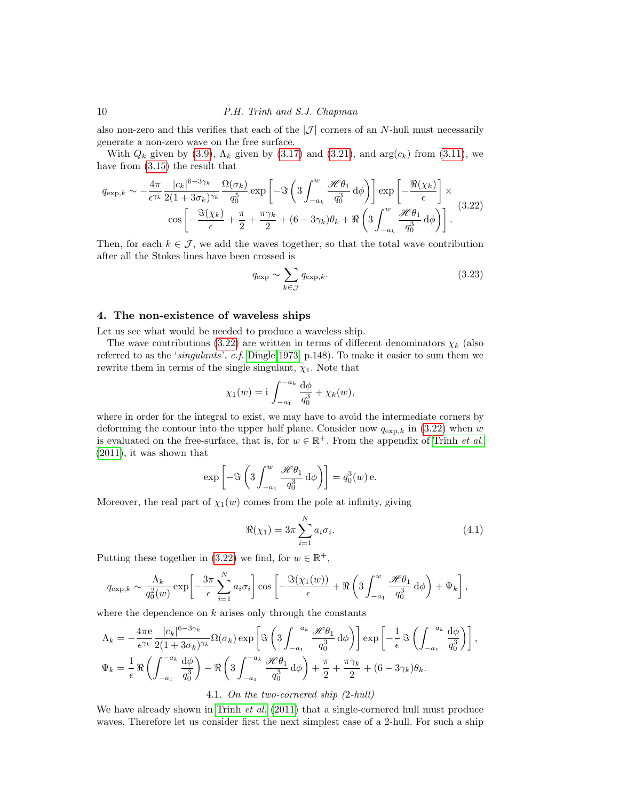also non-zero and this verifies that each of the  $|\mathcal{J}|$  corners of an N-hull must necessarily generate a non-zero wave on the free surface.

With  $Q_k$  given by [\(3.9\)](#page-5-6),  $\Lambda_k$  given by [\(3.17\)](#page-8-2) and [\(3.21\)](#page-8-3), and  $arg(c_k)$  from [\(3.11\)](#page-6-1), we have from [\(3.15\)](#page-8-1) the result that

<span id="page-9-1"></span>
$$
q_{\exp,k} \sim -\frac{4\pi}{\epsilon^{\gamma_k}} \frac{|c_k|^{6-3\gamma_k}}{2(1+3\sigma_k)^{\gamma_k}} \frac{\Omega(\sigma_k)}{q_0^5} \exp\left[-\Im\left(3\int_{-a_k}^w \frac{\mathcal{H}\theta_1}{q_0^3} d\phi\right)\right] \exp\left[-\frac{\Re(\chi_k)}{\epsilon}\right] \times \cos\left[-\frac{\Im(\chi_k)}{\epsilon} + \frac{\pi}{2} + \frac{\pi\gamma_k}{2} + (6-3\gamma_k)\theta_k + \Re\left(3\int_{-a_k}^w \frac{\mathcal{H}\theta_1}{q_0^3} d\phi\right)\right].
$$
 (3.22)

Then, for each  $k \in \mathcal{J}$ , we add the waves together, so that the total wave contribution after all the Stokes lines have been crossed is

<span id="page-9-2"></span>
$$
q_{\exp} \sim \sum_{k \in \mathcal{J}} q_{\exp,k}.\tag{3.23}
$$

# <span id="page-9-0"></span>4. The non-existence of waveless ships

Let us see what would be needed to produce a waveless ship.

The wave contributions [\(3.22\)](#page-9-1) are written in terms of different denominators  $\chi_k$  (also referred to as the 'singulants', c.f. [Dingle 1973,](#page-16-11) p.148). To make it easier to sum them we rewrite them in terms of the single singulant,  $\chi_1$ . Note that

$$
\chi_1(w) = i \int_{-a_1}^{-a_k} \frac{d\phi}{q_0^3} + \chi_k(w),
$$

where in order for the integral to exist, we may have to avoid the intermediate corners by deforming the contour into the upper half plane. Consider now  $q_{\exp,k}$  in [\(3.22\)](#page-9-1) when w is evaluated on the free-surface, that is, for  $w \in \mathbb{R}^+$ . From the appendix of [Trinh](#page-17-0) *et al.* [\(2011\)](#page-17-0), it was shown that

$$
\exp\left[-\Im\left(3\int_{-a_1}^w \frac{\mathscr{H}\theta_1}{q_0^3} \,\mathrm{d}\phi\right)\right] = q_0^3(w)\,\mathrm{e}.
$$

Moreover, the real part of  $\chi_1(w)$  comes from the pole at infinity, giving

$$
\Re(\chi_1) = 3\pi \sum_{i=1}^{N} a_i \sigma_i.
$$
\n(4.1)

Putting these together in [\(3.22\)](#page-9-1) we find, for  $w \in \mathbb{R}^+$ ,

$$
q_{\exp,k} \sim \frac{\Lambda_k}{q_0^2(w)} \exp \left[ -\frac{3\pi}{\epsilon} \sum_{i=1}^N a_i \sigma_i \right] \cos \left[ -\frac{\Im(\chi_1(w))}{\epsilon} + \Re \left( 3 \int_{-a_1}^w \frac{\mathcal{H} \theta_1}{q_0^3} \, \mathrm{d}\phi \right) + \Psi_k \right],
$$

where the dependence on  $k$  arises only through the constants

$$
\Lambda_k = -\frac{4\pi e}{\epsilon^{\gamma_k}} \frac{|c_k|^{6-3\gamma_k}}{2(1+3\sigma_k)^{\gamma_k}} \Omega(\sigma_k) \exp\left[ \Im \left( 3 \int_{-a_1}^{-a_k} \frac{\mathcal{H}\theta_1}{q_0^3} d\phi \right) \right] \exp\left[ -\frac{1}{\epsilon} \Im \left( \int_{-a_1}^{-a_k} \frac{d\phi}{q_0^3} \right) \right],
$$
  

$$
\Psi_k = \frac{1}{\epsilon} \Re \left( \int_{-a_1}^{-a_k} \frac{d\phi}{q_0^3} \right) - \Re \left( 3 \int_{-a_1}^{-a_k} \frac{\mathcal{H}\theta_1}{q_0^3} d\phi \right) + \frac{\pi}{2} + \frac{\pi \gamma_k}{2} + (6 - 3\gamma_k) \theta_k.
$$

# 4.1. On the two-cornered ship (2-hull)

We have already shown in [Trinh](#page-17-0) *et al.* [\(2011\)](#page-17-0) that a single-cornered hull must produce waves. Therefore let us consider first the next simplest case of a 2-hull. For such a ship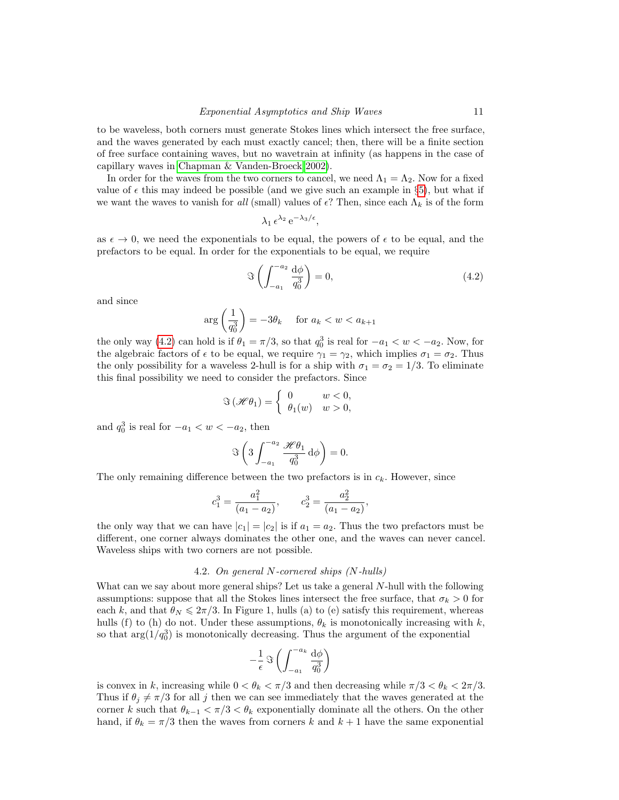to be waveless, both corners must generate Stokes lines which intersect the free surface, and the waves generated by each must exactly cancel; then, there will be a finite section of free surface containing waves, but no wavetrain at infinity (as happens in the case of capillary waves in [Chapman & Vanden-Broeck 2002\)](#page-16-6).

In order for the waves from the two corners to cancel, we need  $\Lambda_1 = \Lambda_2$ . Now for a fixed value of  $\epsilon$  this may indeed be possible (and we give such an example in §[5\)](#page-11-0), but what if we want the waves to vanish for all (small) values of  $\epsilon$ ? Then, since each  $\Lambda_k$  is of the form

$$
\lambda_1 \,\epsilon^{\lambda_2} \,\mathrm{e}^{-\lambda_3/\epsilon},
$$

as  $\epsilon \to 0$ , we need the exponentials to be equal, the powers of  $\epsilon$  to be equal, and the prefactors to be equal. In order for the exponentials to be equal, we require

<span id="page-10-0"></span>
$$
\Im\left(\int_{-a_1}^{-a_2} \frac{\mathrm{d}\phi}{q_0^3}\right) = 0,\tag{4.2}
$$

and since

$$
\arg\left(\frac{1}{q_0^3}\right) = -3\theta_k \quad \text{ for } a_k < w < a_{k+1}
$$

the only way [\(4.2\)](#page-10-0) can hold is if  $\theta_1 = \pi/3$ , so that  $q_0^3$  is real for  $-a_1 < w < -a_2$ . Now, for the algebraic factors of  $\epsilon$  to be equal, we require  $\gamma_1 = \gamma_2$ , which implies  $\sigma_1 = \sigma_2$ . Thus the only possibility for a waveless 2-hull is for a ship with  $\sigma_1 = \sigma_2 = 1/3$ . To eliminate this final possibility we need to consider the prefactors. Since

$$
\Im\left(\mathcal{H}\theta_1\right) = \begin{cases} 0 & w < 0, \\ \theta_1(w) & w > 0, \end{cases}
$$

and  $q_0^3$  is real for  $-a_1 < w < -a_2$ , then

$$
\Im\left(3\int_{-a_1}^{-a_2}\frac{\mathscr{H}\theta_1}{q_0^3}\,\mathrm{d}\phi\right)=0.
$$

The only remaining difference between the two prefactors is in  $c_k$ . However, since

$$
c_1^3 = \frac{a_1^2}{(a_1 - a_2)},
$$
  $c_2^3 = \frac{a_2^2}{(a_1 - a_2)},$ 

the only way that we can have  $|c_1| = |c_2|$  is if  $a_1 = a_2$ . Thus the two prefactors must be different, one corner always dominates the other one, and the waves can never cancel. Waveless ships with two corners are not possible.

# 4.2. On general N-cornered ships (N-hulls)

What can we say about more general ships? Let us take a general N-hull with the following assumptions: suppose that all the Stokes lines intersect the free surface, that  $\sigma_k > 0$  for each k, and that  $\theta_N \leqslant 2\pi/3$ . In Figure 1, hulls (a) to (e) satisfy this requirement, whereas hulls (f) to (h) do not. Under these assumptions,  $\theta_k$  is monotonically increasing with k, so that  $\arg(1/q_0^3)$  is monotonically decreasing. Thus the argument of the exponential

$$
-\frac{1}{\epsilon}\,\Im\left(\int_{-a_1}^{-a_k}\frac{\mathrm{d}\phi}{q_0^3}\right)
$$

is convex in k, increasing while  $0 < \theta_k < \pi/3$  and then decreasing while  $\pi/3 < \theta_k < 2\pi/3$ . Thus if  $\theta_i \neq \pi/3$  for all j then we can see immediately that the waves generated at the corner k such that  $\theta_{k-1} < \pi/3 < \theta_k$  exponentially dominate all the others. On the other hand, if  $\theta_k = \pi/3$  then the waves from corners k and  $k+1$  have the same exponential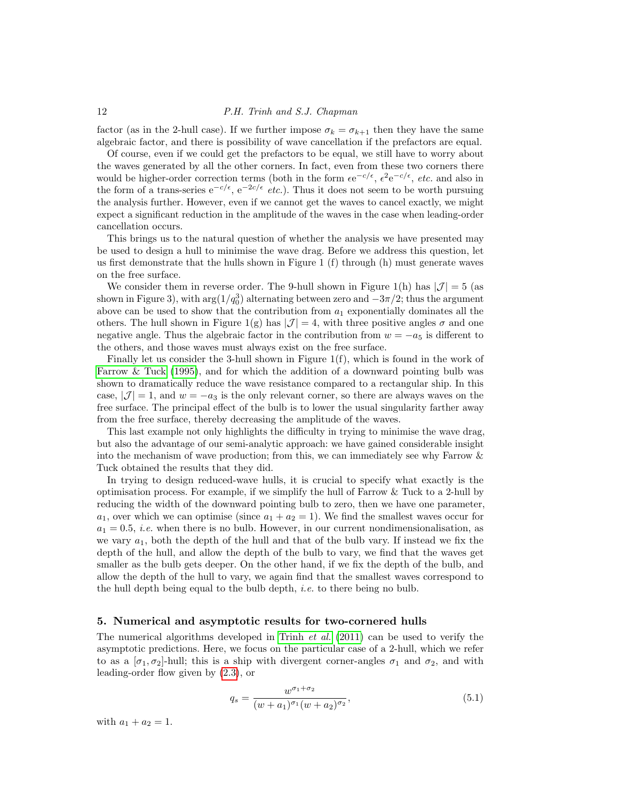factor (as in the 2-hull case). If we further impose  $\sigma_k = \sigma_{k+1}$  then they have the same algebraic factor, and there is possibility of wave cancellation if the prefactors are equal.

Of course, even if we could get the prefactors to be equal, we still have to worry about the waves generated by all the other corners. In fact, even from these two corners there would be higher-order correction terms (both in the form  $\epsilon e^{-c/\epsilon}$ ,  $\epsilon^2 e^{-c/\epsilon}$ , *etc.* and also in the form of a trans-series  $e^{-c/\epsilon}$ ,  $e^{-2c/\epsilon}$  *etc.*). Thus it does not seem to be worth pursuing the analysis further. However, even if we cannot get the waves to cancel exactly, we might expect a significant reduction in the amplitude of the waves in the case when leading-order cancellation occurs.

This brings us to the natural question of whether the analysis we have presented may be used to design a hull to minimise the wave drag. Before we address this question, let us first demonstrate that the hulls shown in Figure 1  $(f)$  through  $(h)$  must generate waves on the free surface.

We consider them in reverse order. The 9-hull shown in Figure 1(h) has  $|\mathcal{J}| = 5$  (as shown in Figure 3), with  $arg(1/q_0^3)$  alternating between zero and  $-3\pi/2$ ; thus the argument above can be used to show that the contribution from  $a_1$  exponentially dominates all the others. The hull shown in Figure 1(g) has  $|\mathcal{J}| = 4$ , with three positive angles  $\sigma$  and one negative angle. Thus the algebraic factor in the contribution from  $w = -a_5$  is different to the others, and those waves must always exist on the free surface.

Finally let us consider the 3-hull shown in Figure 1(f), which is found in the work of [Farrow & Tuck \(1995\)](#page-16-2), and for which the addition of a downward pointing bulb was shown to dramatically reduce the wave resistance compared to a rectangular ship. In this case,  $|\mathcal{J}| = 1$ , and  $w = -a_3$  is the only relevant corner, so there are always waves on the free surface. The principal effect of the bulb is to lower the usual singularity farther away from the free surface, thereby decreasing the amplitude of the waves.

This last example not only highlights the difficulty in trying to minimise the wave drag, but also the advantage of our semi-analytic approach: we have gained considerable insight into the mechanism of wave production; from this, we can immediately see why Farrow & Tuck obtained the results that they did.

In trying to design reduced-wave hulls, it is crucial to specify what exactly is the optimisation process. For example, if we simplify the hull of Farrow & Tuck to a 2-hull by reducing the width of the downward pointing bulb to zero, then we have one parameter,  $a_1$ , over which we can optimise (since  $a_1 + a_2 = 1$ ). We find the smallest waves occur for  $a_1 = 0.5$ , *i.e.* when there is no bulb. However, in our current nondimensionalisation, as we vary  $a_1$ , both the depth of the hull and that of the bulb vary. If instead we fix the depth of the hull, and allow the depth of the bulb to vary, we find that the waves get smaller as the bulb gets deeper. On the other hand, if we fix the depth of the bulb, and allow the depth of the hull to vary, we again find that the smallest waves correspond to the hull depth being equal to the bulb depth, i.e. to there being no bulb.

# <span id="page-11-0"></span>5. Numerical and asymptotic results for two-cornered hulls

The numerical algorithms developed in [Trinh](#page-17-0) *et al.* [\(2011\)](#page-17-0) can be used to verify the asymptotic predictions. Here, we focus on the particular case of a 2-hull, which we refer to as a  $[\sigma_1, \sigma_2]$ -hull; this is a ship with divergent corner-angles  $\sigma_1$  and  $\sigma_2$ , and with leading-order flow given by [\(2.3\)](#page-3-3), or

$$
q_s = \frac{w^{\sigma_1 + \sigma_2}}{(w + a_1)^{\sigma_1}(w + a_2)^{\sigma_2}},
$$
\n(5.1)

with  $a_1 + a_2 = 1$ .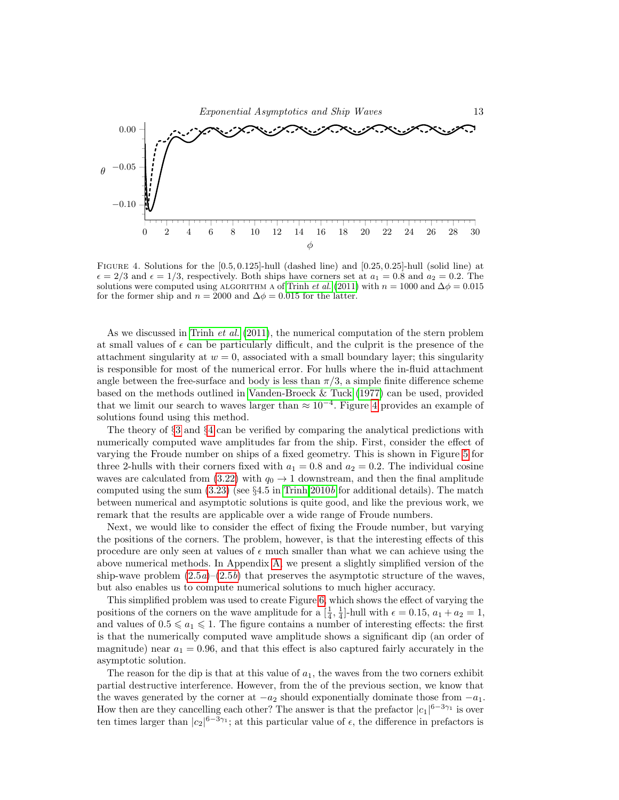

<span id="page-12-0"></span>FIGURE 4. Solutions for the  $[0.5, 0.125]$ -hull (dashed line) and  $[0.25, 0.25]$ -hull (solid line) at  $\epsilon = 2/3$  and  $\epsilon = 1/3$ , respectively. Both ships have corners set at  $a_1 = 0.8$  and  $a_2 = 0.2$ . The solutions were computed using ALGORITHM A of [Trinh](#page-17-0) *et al.* [\(2011\)](#page-17-0) with  $n = 1000$  and  $\Delta \phi = 0.015$ for the former ship and  $n = 2000$  and  $\Delta \phi = 0.015$  for the latter.

As we discussed in [Trinh](#page-17-0) *et al.* [\(2011\)](#page-17-0), the numerical computation of the stern problem at small values of  $\epsilon$  can be particularly difficult, and the culprit is the presence of the attachment singularity at  $w = 0$ , associated with a small boundary layer; this singularity is responsible for most of the numerical error. For hulls where the in-fluid attachment angle between the free-surface and body is less than  $\pi/3$ , a simple finite difference scheme based on the methods outlined in [Vanden-Broeck & Tuck \(1977\)](#page-17-1) can be used, provided that we limit our search to waves larger than  $\approx 10^{-4}$ . Figure [4](#page-12-0) provides an example of solutions found using this method.

The theory of §[3](#page-4-0) and §[4](#page-9-0) can be verified by comparing the analytical predictions with numerically computed wave amplitudes far from the ship. First, consider the effect of varying the Froude number on ships of a fixed geometry. This is shown in Figure [5](#page-13-0) for three 2-hulls with their corners fixed with  $a_1 = 0.8$  and  $a_2 = 0.2$ . The individual cosine waves are calculated from  $(3.22)$  with  $q_0 \rightarrow 1$  downstream, and then the final amplitude computed using the sum  $(3.23)$  (see  $\S 4.5$  in [Trinh 2010](#page-17-19)b for additional details). The match between numerical and asymptotic solutions is quite good, and like the previous work, we remark that the results are applicable over a wide range of Froude numbers.

Next, we would like to consider the effect of fixing the Froude number, but varying the positions of the corners. The problem, however, is that the interesting effects of this procedure are only seen at values of  $\epsilon$  much smaller than what we can achieve using the above numerical methods. In Appendix [A,](#page-17-20) we present a slightly simplified version of the ship-wave problem  $(2.5a)-(2.5b)$  $(2.5a)-(2.5b)$  that preserves the asymptotic structure of the waves, but also enables us to compute numerical solutions to much higher accuracy.

This simplified problem was used to create Figure [6,](#page-13-1) which shows the effect of varying the positions of the corners on the wave amplitude for a  $[\frac{1}{4}, \frac{1}{4}]$ -hull with  $\epsilon = 0.15$ ,  $a_1 + a_2 = 1$ , and values of  $0.5 \leq a_1 \leq 1$ . The figure contains a number of interesting effects: the first is that the numerically computed wave amplitude shows a significant dip (an order of magnitude) near  $a_1 = 0.96$ , and that this effect is also captured fairly accurately in the asymptotic solution.

The reason for the dip is that at this value of  $a_1$ , the waves from the two corners exhibit partial destructive interference. However, from the of the previous section, we know that the waves generated by the corner at  $-a_2$  should exponentially dominate those from  $-a_1$ . How then are they cancelling each other? The answer is that the prefactor  $|c_1|^{6-3\gamma_1}$  is over ten times larger than  $|c_2|^{6-3\gamma_1}$ ; at this particular value of  $\epsilon$ , the difference in prefactors is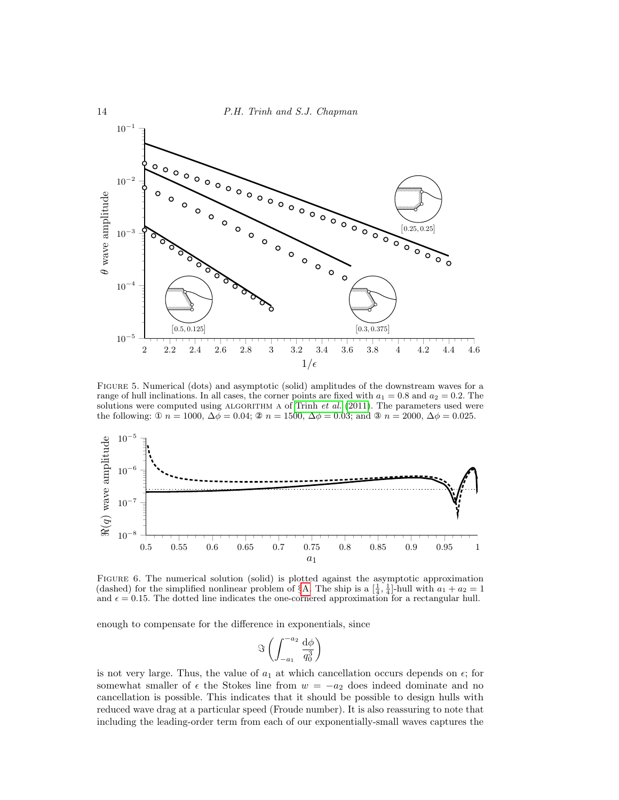

<span id="page-13-0"></span>Figure 5. Numerical (dots) and asymptotic (solid) amplitudes of the downstream waves for a range of hull inclinations. In all cases, the corner points are fixed with  $a_1 = 0.8$  and  $a_2 = 0.2$ . The solutions were computed using ALGORITHM A of [Trinh](#page-17-0)  $et$  al. [\(2011\)](#page-17-0). The parameters used were the following: ①  $n = 1000$ ,  $\Delta \bar{\phi} = 0.04$ ; ②  $n = 1500$ ,  $\Delta \phi = 0.03$ ; and ③  $n = 2000$ ,  $\Delta \phi = 0.025$ .



<span id="page-13-1"></span>Figure 6. The numerical solution (solid) is plotted against the asymptotic approximation (dashed) for the simplified nonlinear problem of §[A.](#page-17-20) The ship is a  $\left[\frac{1}{4}, \frac{1}{4}\right]$ -hull with  $a_1 + a_2 = 1$ and  $\epsilon = 0.15$ . The dotted line indicates the one-cornered approximation for a rectangular hull.

enough to compensate for the difference in exponentials, since

$$
\Im\left(\int_{-a_1}^{-a_2}\frac{\mathrm{d}\phi}{q_0^3}\right)
$$

is not very large. Thus, the value of  $a_1$  at which cancellation occurs depends on  $\epsilon$ ; for somewhat smaller of  $\epsilon$  the Stokes line from  $w = -a_2$  does indeed dominate and no cancellation is possible. This indicates that it should be possible to design hulls with reduced wave drag at a particular speed (Froude number). It is also reassuring to note that including the leading-order term from each of our exponentially-small waves captures the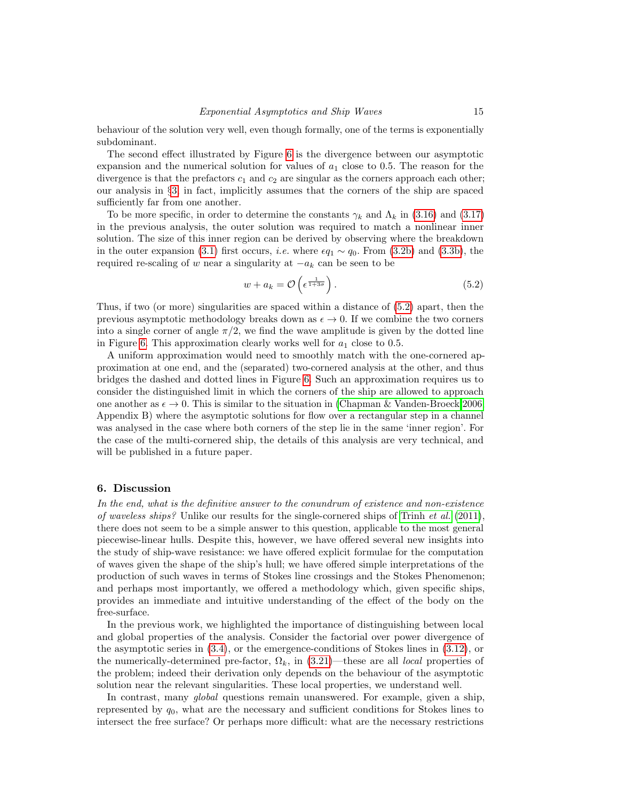behaviour of the solution very well, even though formally, one of the terms is exponentially subdominant.

The second effect illustrated by Figure [6](#page-13-1) is the divergence between our asymptotic expansion and the numerical solution for values of  $a_1$  close to 0.5. The reason for the divergence is that the prefactors  $c_1$  and  $c_2$  are singular as the corners approach each other; our analysis in §[3,](#page-4-0) in fact, implicitly assumes that the corners of the ship are spaced sufficiently far from one another.

To be more specific, in order to determine the constants  $\gamma_k$  and  $\Lambda_k$  in [\(3.16\)](#page-8-4) and [\(3.17\)](#page-8-2) in the previous analysis, the outer solution was required to match a nonlinear inner solution. The size of this inner region can be derived by observing where the breakdown in the outer expansion [\(3.1\)](#page-5-1) first occurs, *i.e.* where  $\epsilon q_1 \sim q_0$ . From [\(3.2b\)](#page-5-0) and [\(3.3b\)](#page-5-7), the required re-scaling of w near a singularity at  $-a_k$  can be seen to be

<span id="page-14-1"></span>
$$
w + a_k = \mathcal{O}\left(\epsilon^{\frac{1}{1+3\sigma}}\right). \tag{5.2}
$$

Thus, if two (or more) singularities are spaced within a distance of [\(5.2\)](#page-14-1) apart, then the previous asymptotic methodology breaks down as  $\epsilon \to 0$ . If we combine the two corners into a single corner of angle  $\pi/2$ , we find the wave amplitude is given by the dotted line in Figure [6.](#page-13-1) This approximation clearly works well for  $a_1$  close to 0.5.

A uniform approximation would need to smoothly match with the one-cornered approximation at one end, and the (separated) two-cornered analysis at the other, and thus bridges the dashed and dotted lines in Figure [6.](#page-13-1) Such an approximation requires us to consider the distinguished limit in which the corners of the ship are allowed to approach one another as  $\epsilon \to 0$ . This is similar to the situation in [\(Chapman & Vanden-Broeck 2006,](#page-16-7) Appendix B) where the asymptotic solutions for flow over a rectangular step in a channel was analysed in the case where both corners of the step lie in the same 'inner region'. For the case of the multi-cornered ship, the details of this analysis are very technical, and will be published in a future paper.

# <span id="page-14-0"></span>6. Discussion

In the end, what is the definitive answer to the conundrum of existence and non-existence of waveless ships? Unlike our results for the single-cornered ships of [Trinh](#page-17-0) et al.  $(2011)$ , there does not seem to be a simple answer to this question, applicable to the most general piecewise-linear hulls. Despite this, however, we have offered several new insights into the study of ship-wave resistance: we have offered explicit formulae for the computation of waves given the shape of the ship's hull; we have offered simple interpretations of the production of such waves in terms of Stokes line crossings and the Stokes Phenomenon; and perhaps most importantly, we offered a methodology which, given specific ships, provides an immediate and intuitive understanding of the effect of the body on the free-surface.

In the previous work, we highlighted the importance of distinguishing between local and global properties of the analysis. Consider the factorial over power divergence of the asymptotic series in [\(3.4\)](#page-5-2), or the emergence-conditions of Stokes lines in [\(3.12\)](#page-6-0), or the numerically-determined pre-factor,  $\Omega_k$ , in [\(3.21\)](#page-8-3)—these are all *local* properties of the problem; indeed their derivation only depends on the behaviour of the asymptotic solution near the relevant singularities. These local properties, we understand well.

In contrast, many *global* questions remain unanswered. For example, given a ship, represented by  $q_0$ , what are the necessary and sufficient conditions for Stokes lines to intersect the free surface? Or perhaps more difficult: what are the necessary restrictions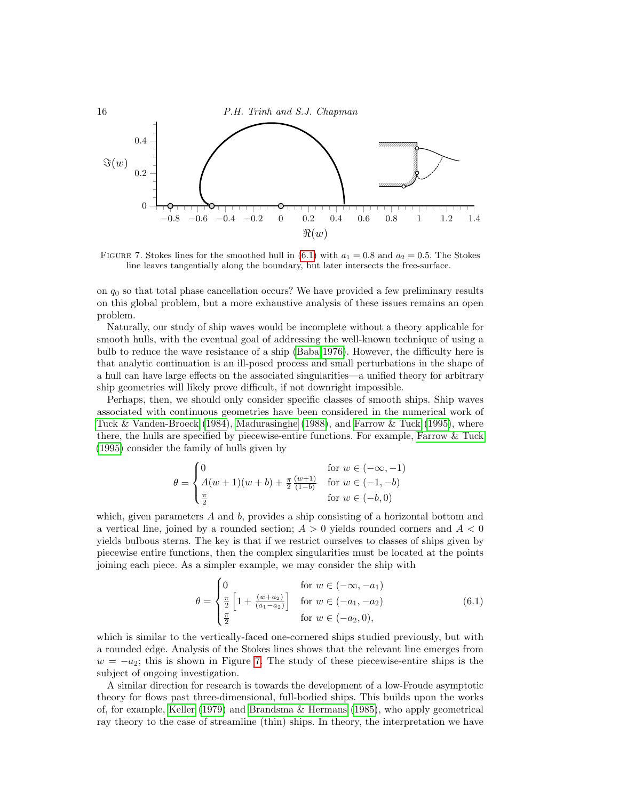

<span id="page-15-1"></span>FIGURE 7. Stokes lines for the smoothed hull in [\(6.1\)](#page-15-0) with  $a_1 = 0.8$  and  $a_2 = 0.5$ . The Stokes line leaves tangentially along the boundary, but later intersects the free-surface.

on  $q_0$  so that total phase cancellation occurs? We have provided a few preliminary results on this global problem, but a more exhaustive analysis of these issues remains an open problem.

Naturally, our study of ship waves would be incomplete without a theory applicable for smooth hulls, with the eventual goal of addressing the well-known technique of using a bulb to reduce the wave resistance of a ship [\(Baba 1976\)](#page-16-12). However, the difficulty here is that analytic continuation is an ill-posed process and small perturbations in the shape of a hull can have large effects on the associated singularities—a unified theory for arbitrary ship geometries will likely prove difficult, if not downright impossible.

Perhaps, then, we should only consider specific classes of smooth ships. Ship waves associated with continuous geometries have been considered in the numerical work of [Tuck & Vanden-Broeck \(1984\)](#page-17-7), [Madurasinghe \(1988\)](#page-17-21), and [Farrow & Tuck \(1995\)](#page-16-2), where there, the hulls are specified by piecewise-entire functions. For example, [Farrow & Tuck](#page-16-2) [\(1995\)](#page-16-2) consider the family of hulls given by

$$
\theta = \begin{cases} 0 & \text{for } w \in (-\infty, -1) \\ A(w+1)(w+b) + \frac{\pi}{2} \frac{(w+1)}{(1-b)} & \text{for } w \in (-1, -b) \\ \frac{\pi}{2} & \text{for } w \in (-b, 0) \end{cases}
$$

which, given parameters  $A$  and  $b$ , provides a ship consisting of a horizontal bottom and a vertical line, joined by a rounded section;  $A > 0$  yields rounded corners and  $A < 0$ yields bulbous sterns. The key is that if we restrict ourselves to classes of ships given by piecewise entire functions, then the complex singularities must be located at the points joining each piece. As a simpler example, we may consider the ship with

<span id="page-15-0"></span>
$$
\theta = \begin{cases} 0 & \text{for } w \in (-\infty, -a_1) \\ \frac{\pi}{2} \left[ 1 + \frac{(w + a_2)}{(a_1 - a_2)} \right] & \text{for } w \in (-a_1, -a_2) \\ \frac{\pi}{2} & \text{for } w \in (-a_2, 0), \end{cases}
$$
(6.1)

which is similar to the vertically-faced one-cornered ships studied previously, but with a rounded edge. Analysis of the Stokes lines shows that the relevant line emerges from  $w = -a_2$ ; this is shown in Figure [7.](#page-15-1) The study of these piecewise-entire ships is the subject of ongoing investigation.

A similar direction for research is towards the development of a low-Froude asymptotic theory for flows past three-dimensional, full-bodied ships. This builds upon the works of, for example, [Keller \(1979\)](#page-16-13) and [Brandsma & Hermans \(1985\)](#page-16-14), who apply geometrical ray theory to the case of streamline (thin) ships. In theory, the interpretation we have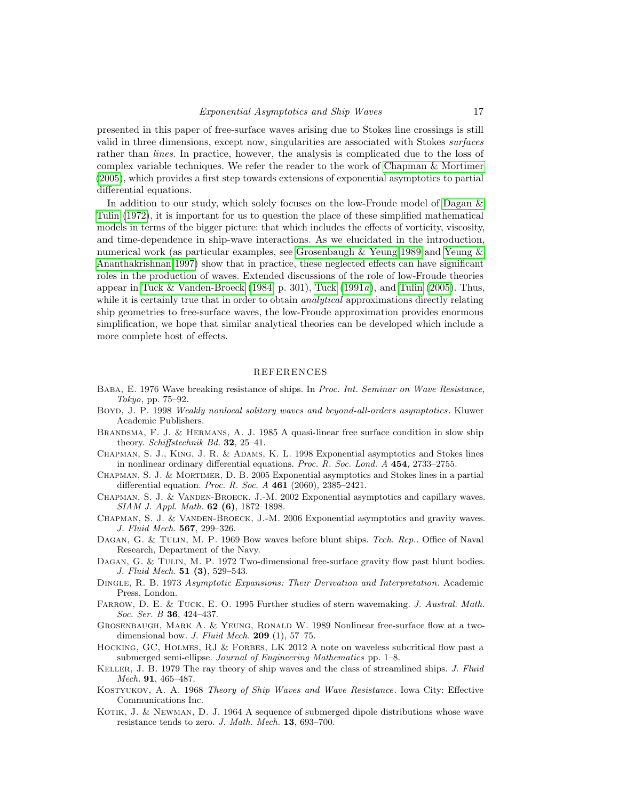presented in this paper of free-surface waves arising due to Stokes line crossings is still valid in three dimensions, except now, singularities are associated with Stokes surfaces rather than *lines*. In practice, however, the analysis is complicated due to the loss of complex variable techniques. We refer the reader to the work of [Chapman & Mortimer](#page-16-15) [\(2005\)](#page-16-15), which provides a first step towards extensions of exponential asymptotics to partial differential equations.

In addition to our study, which solely focuses on the low-Froude model of Dagan  $\&$ [Tulin \(1972\)](#page-16-0), it is important for us to question the place of these simplified mathematical models in terms of the bigger picture: that which includes the effects of vorticity, viscosity, and time-dependence in ship-wave interactions. As we elucidated in the introduction, numerical work (as particular examples, see [Grosenbaugh & Yeung 1989](#page-16-8) and [Yeung &](#page-17-14) [Ananthakrishnan 1997\)](#page-17-14) show that in practice, these neglected effects can have significant roles in the production of waves. Extended discussions of the role of low-Froude theories appear in [Tuck & Vanden-Broeck \(1984,](#page-17-7) p. 301), [Tuck \(1991](#page-17-4) $a$ ), and [Tulin \(2005\)](#page-17-18). Thus, while it is certainly true that in order to obtain *analytical* approximations directly relating ship geometries to free-surface waves, the low-Froude approximation provides enormous simplification, we hope that similar analytical theories can be developed which include a more complete host of effects.

# REFERENCES

- <span id="page-16-12"></span>Baba, E. 1976 Wave breaking resistance of ships. In Proc. Int. Seminar on Wave Resistance, Tokyo, pp. 75–92.
- <span id="page-16-4"></span>Boyd, J. P. 1998 Weakly nonlocal solitary waves and beyond-all-orders asymptotics. Kluwer Academic Publishers.
- <span id="page-16-14"></span>Brandsma, F. J. & Hermans, A. J. 1985 A quasi-linear free surface condition in slow ship theory. Schiffstechnik Bd. 32, 25–41.
- <span id="page-16-5"></span>CHAPMAN, S. J., KING, J. R. & ADAMS, K. L. 1998 Exponential asymptotics and Stokes lines in nonlinear ordinary differential equations. Proc. R. Soc. Lond. A 454, 2733–2755.
- <span id="page-16-15"></span>Chapman, S. J. & Mortimer, D. B. 2005 Exponential asymptotics and Stokes lines in a partial differential equation. Proc. R. Soc. A 461 (2060), 2385–2421.
- <span id="page-16-6"></span>Chapman, S. J. & Vanden-Broeck, J.-M. 2002 Exponential asymptotics and capillary waves. SIAM J. Appl. Math. 62 (6), 1872–1898.
- <span id="page-16-7"></span>CHAPMAN, S. J. & VANDEN-BROECK, J.-M. 2006 Exponential asymptotics and gravity waves. J. Fluid Mech. 567, 299–326.
- <span id="page-16-1"></span>DAGAN, G. & TULIN, M. P. 1969 Bow waves before blunt ships. Tech. Rep.. Office of Naval Research, Department of the Navy.
- <span id="page-16-0"></span>Dagan, G. & Tulin, M. P. 1972 Two-dimensional free-surface gravity flow past blunt bodies. J. Fluid Mech. 51 (3), 529–543.
- <span id="page-16-11"></span>Dingle, R. B. 1973 Asymptotic Expansions: Their Derivation and Interpretation. Academic Press, London.
- <span id="page-16-2"></span>FARROW, D. E. & TUCK, E. O. 1995 Further studies of stern wavemaking. J. Austral. Math. Soc. Ser. B **36**, 424-437.
- <span id="page-16-8"></span>Grosenbaugh, Mark A. & Yeung, Ronald W. 1989 Nonlinear free-surface flow at a twodimensional bow. J. Fluid Mech.  $209$  (1), 57–75.
- <span id="page-16-3"></span>HOCKING, GC, HOLMES, RJ & FORBES, LK 2012 A note on waveless subcritical flow past a submerged semi-ellipse. Journal of Engineering Mathematics pp. 1–8.
- <span id="page-16-13"></span>KELLER, J. B. 1979 The ray theory of ship waves and the class of streamlined ships. J. Fluid Mech. 91, 465–487.
- <span id="page-16-10"></span>Kostyukov, A. A. 1968 Theory of Ship Waves and Wave Resistance. Iowa City: Effective Communications Inc.
- <span id="page-16-9"></span>KOTIK, J. & NEWMAN, D. J. 1964 A sequence of submerged dipole distributions whose wave resistance tends to zero. J. Math. Mech. 13, 693–700.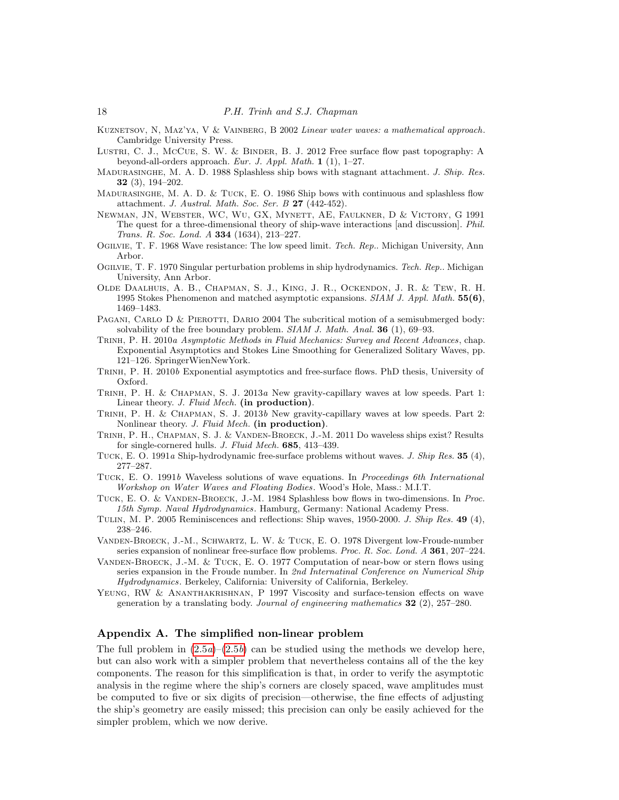- <span id="page-17-15"></span>KUZNETSOV, N, MAZ'YA, V & VAINBERG, B 2002 Linear water waves: a mathematical approach. Cambridge University Press.
- <span id="page-17-6"></span>LUSTRI, C. J., MCCUE, S. W. & BINDER, B. J. 2012 Free surface flow past topography: A beyond-all-orders approach. Eur. J. Appl. Math.  $1$  (1), 1–27.
- <span id="page-17-21"></span>MADURASINGHE, M. A. D. 1988 Splashless ship bows with stagnant attachment. J. Ship. Res. 32 (3), 194–202.
- <span id="page-17-3"></span>MADURASINGHE, M. A. D.  $&$  TUCK, E. O. 1986 Ship bows with continuous and splashless flow attachment. J. Austral. Math. Soc. Ser. B 27 (442-452).
- <span id="page-17-16"></span>Newman, JN, Webster, WC, Wu, GX, Mynett, AE, Faulkner, D & Victory, G 1991 The quest for a three-dimensional theory of ship-wave interactions [and discussion]. Phil. Trans. R. Soc. Lond. A 334 (1634), 213–227.
- <span id="page-17-8"></span>OGILVIE, T. F. 1968 Wave resistance: The low speed limit. Tech. Rep.. Michigan University, Ann Arbor.
- <span id="page-17-9"></span>Ogilvie, T. F. 1970 Singular perturbation problems in ship hydrodynamics. Tech. Rep.. Michigan University, Ann Arbor.
- <span id="page-17-10"></span>Olde Daalhuis, A. B., Chapman, S. J., King, J. R., Ockendon, J. R. & Tew, R. H. 1995 Stokes Phenomenon and matched asymptotic expansions. SIAM J. Appl. Math. 55(6), 1469–1483.
- <span id="page-17-17"></span>PAGANI, CARLO D & PIEROTTI, DARIO 2004 The subcritical motion of a semisubmerged body: solvability of the free boundary problem.  $SIAM$  J. Math. Anal. **36** (1), 69–93.
- <span id="page-17-11"></span>Trinh, P. H. 2010a Asymptotic Methods in Fluid Mechanics: Survey and Recent Advances , chap. Exponential Asymptotics and Stokes Line Smoothing for Generalized Solitary Waves, pp. 121–126. SpringerWienNewYork.
- <span id="page-17-19"></span>Trinh, P. H. 2010b Exponential asymptotics and free-surface flows. PhD thesis, University of Oxford.
- <span id="page-17-12"></span>TRINH, P. H. & CHAPMAN, S. J. 2013a New gravity-capillary waves at low speeds. Part 1: Linear theory. J. Fluid Mech. (in production).
- <span id="page-17-13"></span>Trinh, P. H. & Chapman, S. J. 2013b New gravity-capillary waves at low speeds. Part 2: Nonlinear theory. J. Fluid Mech. (in production).
- <span id="page-17-0"></span>Trinh, P. H., Chapman, S. J. & Vanden-Broeck, J.-M. 2011 Do waveless ships exist? Results for single-cornered hulls. J. Fluid Mech. 685, 413–439.
- <span id="page-17-4"></span>TUCK, E. O. 1991a Ship-hydrodynamic free-surface problems without waves. J. Ship Res. 35 (4), 277–287.
- <span id="page-17-5"></span>Tuck, E. O. 1991b Waveless solutions of wave equations. In Proceedings 6th International Workshop on Water Waves and Floating Bodies. Wood's Hole, Mass.: M.I.T.
- <span id="page-17-7"></span>TUCK, E. O. & VANDEN-BROECK, J.-M. 1984 Splashless bow flows in two-dimensions. In Proc. 15th Symp. Naval Hydrodynamics. Hamburg, Germany: National Academy Press.
- <span id="page-17-18"></span>Tulin, M. P. 2005 Reminiscences and reflections: Ship waves, 1950-2000. J. Ship Res. 49 (4), 238–246.
- <span id="page-17-2"></span>Vanden-Broeck, J.-M., Schwartz, L. W. & Tuck, E. O. 1978 Divergent low-Froude-number series expansion of nonlinear free-surface flow problems. *Proc. R. Soc. Lond. A* **361**, 207–224.
- <span id="page-17-1"></span>VANDEN-BROECK, J.-M. & TUCK, E. O. 1977 Computation of near-bow or stern flows using series expansion in the Froude number. In 2nd Internatinal Conference on Numerical Ship Hydrodynamics. Berkeley, California: University of California, Berkeley.
- <span id="page-17-14"></span>YEUNG, RW & ANANTHAKRISHNAN, P 1997 Viscosity and surface-tension effects on wave generation by a translating body. Journal of engineering mathematics 32 (2), 257–280.

# <span id="page-17-20"></span>Appendix A. The simplified non-linear problem

The full problem in  $(2.5a)-(2.5b)$  $(2.5a)-(2.5b)$  can be studied using the methods we develop here, but can also work with a simpler problem that nevertheless contains all of the the key components. The reason for this simplification is that, in order to verify the asymptotic analysis in the regime where the ship's corners are closely spaced, wave amplitudes must be computed to five or six digits of precision—otherwise, the fine effects of adjusting the ship's geometry are easily missed; this precision can only be easily achieved for the simpler problem, which we now derive.